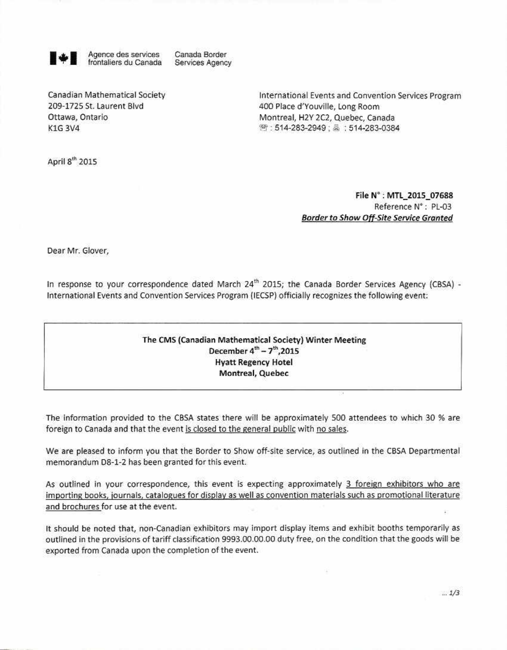

+ Agence des services Canada Border frontaliers du Canada Services Agency

Canadian Mathematical Society **International Events and Convention Services Program** 209-1725 St. Laurent Blvd 400 Place d'Youville, Long Room Ottawa, Ontario **Montreal, H2Y 2C2, Quebec, Canada** K1G 3V4 : 514-283-2949 : 514-283-0384

April  $8<sup>th</sup>$  2015

**File N° : MTL\_2015\_07688**  Reference N° : PL-03 **Border to Show Off-Site Service Granted** 

Dear Mr. Glover,

In response to your correspondence dated March 24<sup>th</sup> 2015; the Canada Border Services Agency (CBSA) -International Events and Convention Services Program (IECSP) officia Ily recognizes the following event:

## The CMS (Canadian Mathematical Society) Winter Meeting December  $4^{th}$  –  $7^{th}$ ,2015 Hyatt **Regency Hotel**  Montreal, Quebec

The information provided to the CBSA states there will be approximately 500 attendees to which 30 % are foreign to Canada and that the event is closed to the general public with no sales.

We are pleased to inform you that the Border to Show off-site service, as outlined in the CBSA Departmental memorandum 08-1-2 has been granted for this event.

As outlined in your correspondence, this event is expecting approximately 3 foreign exhibitors who are importing books, journals, catalogues for displav as well as convention materials such as promotional literature and brochures for use at the event.

It should be noted that, non-Canadian exhibitors may import display items and exhibit booths temporarily as outlined in the provisions of tariff classification 9993.00.00.00 duty free, on the condition that the goods will be exported from Canada upon the completion of the event.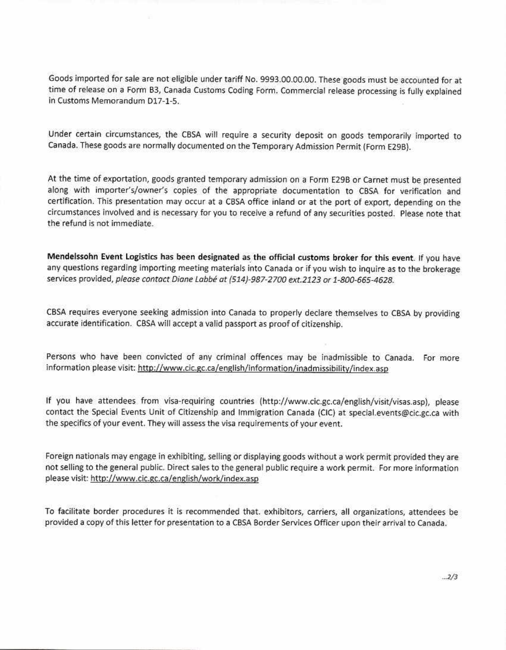Goods imported for sale are not eligible under tariff No. 9993.00.00.00. These goods must be accounted for at time of release on a Form B3, Canada Customs Coding Form. Commercial release processing is fully explained in Customs Memorandum D17-1-5.

Under certain circumstances, the CBSA will require a security deposit on goods temporarily imported to Canada. These goods are normally documented on the Temporary Admission Permit (Form E29B).

At the time of exportation, goods granted temporary admission on a Form E29B or Carnet must be presented along with importer's/owner's copies of the appropriate documentation to CBSA for verification and certification. This presentation may occur at a CBSA office inland or at the port of export, depending on the circumstances involved and is necessary for you to receive a refund of any securities posted. Please note that the refund is not immediate.

**Mendelssohn Event Logistics has been designated as the official customs broker for this event.** If you have any questions regarding importing meeting materials into Canada or if you wish to inquire as to the brokerage services provided, please contact Diane Labbe at (514)-987-2700 ext.2123 or 1-800-665-4628.

CBSA requires everyone seeking admission into Canada to properly declare themselves to CBSA by providing accurate identification. CBSA will accepta valid passport as proof of citizenship.

Persons who have been convicted of any criminal offences may be inadmissible to Canada. For more information please visit: http://www.cic.gc.ca/english/information/inadmissibility/index.asp

If you have attendees from visa-requiring countries (http://www.cic.gc.ca/english/visit/visas.asp), please contact the Special Events Unit of Citizenship and Immigration Canada (CIC) at special.events@cic.gc.ca with the specifics of your event. They will assess the visa requirements of your event.

Foreign nationals may engage in exhibiting, selling or displaying goods without a work permit provided they are not selling to the general public. Direct sales to the general public require a work permit. For more information please visit: http://www.cic.gc.ca/english/work/index.asp

To facilitate border procedures it is recommended that. exhibitors, carriers, ail organizations, attendees be provided a copy of this letter for presentation to a CBSA Border Services Officer upon their arrivai to Canada.